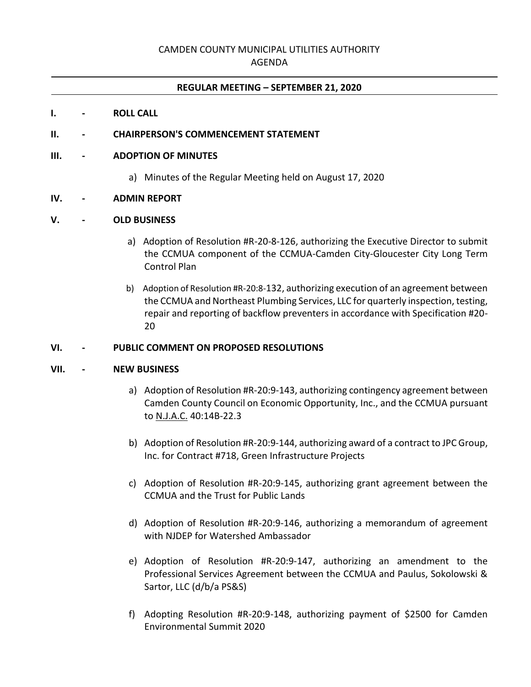# CAMDEN COUNTY MUNICIPAL UTILITIES AUTHORITY

## AGENDA

#### **REGULAR MEETING – SEPTEMBER 21, 2020**

#### **I. - ROLL CALL**

#### **II. - CHAIRPERSON'S COMMENCEMENT STATEMENT**

#### **III. - ADOPTION OF MINUTES**

a) Minutes of the Regular Meeting held on August 17, 2020

#### **IV. - ADMIN REPORT**

### **V. - OLD BUSINESS**

- a) Adoption of Resolution #R-20-8-126, authorizing the Executive Director to submit the CCMUA component of the CCMUA-Camden City-Gloucester City Long Term Control Plan
- b) Adoption of Resolution #R-20:8-132, authorizing execution of an agreement between the CCMUA and Northeast Plumbing Services, LLC for quarterly inspection, testing, repair and reporting of backflow preventers in accordance with Specification #20- 20

#### **VI. - PUBLIC COMMENT ON PROPOSED RESOLUTIONS**

### **VII. - NEW BUSINESS**

- a) Adoption of Resolution #R-20:9-143, authorizing contingency agreement between Camden County Council on Economic Opportunity, Inc., and the CCMUA pursuant to N.J.A.C. 40:14B-22.3
- b) Adoption of Resolution #R-20:9-144, authorizing award of a contract to JPC Group, Inc. for Contract #718, Green Infrastructure Projects
- c) Adoption of Resolution #R-20:9-145, authorizing grant agreement between the CCMUA and the Trust for Public Lands
- d) Adoption of Resolution #R-20:9-146, authorizing a memorandum of agreement with NJDEP for Watershed Ambassador
- e) Adoption of Resolution #R-20:9-147, authorizing an amendment to the Professional Services Agreement between the CCMUA and Paulus, Sokolowski & Sartor, LLC (d/b/a PS&S)
- f) Adopting Resolution #R-20:9-148, authorizing payment of \$2500 for Camden Environmental Summit 2020